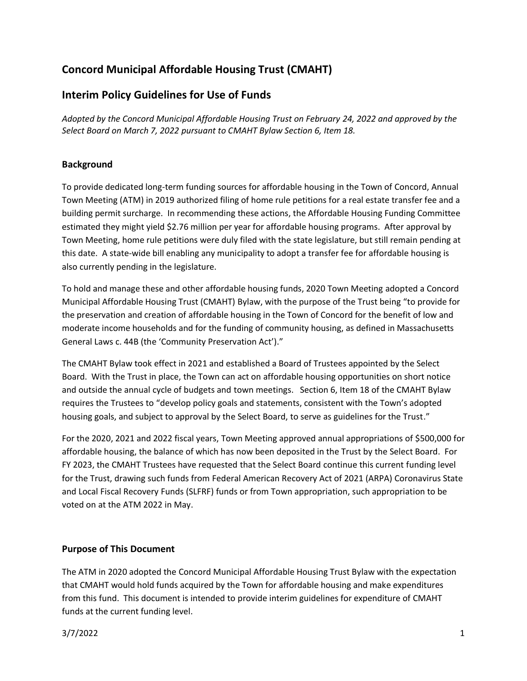# **Concord Municipal Affordable Housing Trust (CMAHT)**

## **Interim Policy Guidelines for Use of Funds**

*Adopted by the Concord Municipal Affordable Housing Trust on February 24, 2022 and approved by the Select Board on March 7, 2022 pursuant to CMAHT Bylaw Section 6, Item 18.*

#### **Background**

To provide dedicated long-term funding sources for affordable housing in the Town of Concord, Annual Town Meeting (ATM) in 2019 authorized filing of home rule petitions for a real estate transfer fee and a building permit surcharge. In recommending these actions, the Affordable Housing Funding Committee estimated they might yield \$2.76 million per year for affordable housing programs. After approval by Town Meeting, home rule petitions were duly filed with the state legislature, but still remain pending at this date. A state-wide bill enabling any municipality to adopt a transfer fee for affordable housing is also currently pending in the legislature.

To hold and manage these and other affordable housing funds, 2020 Town Meeting adopted a Concord Municipal Affordable Housing Trust (CMAHT) Bylaw, with the purpose of the Trust being "to provide for the preservation and creation of affordable housing in the Town of Concord for the benefit of low and moderate income households and for the funding of community housing, as defined in Massachusetts General Laws c. 44B (the 'Community Preservation Act')."

The CMAHT Bylaw took effect in 2021 and established a Board of Trustees appointed by the Select Board. With the Trust in place, the Town can act on affordable housing opportunities on short notice and outside the annual cycle of budgets and town meetings. Section 6, Item 18 of the CMAHT Bylaw requires the Trustees to "develop policy goals and statements, consistent with the Town's adopted housing goals, and subject to approval by the Select Board, to serve as guidelines for the Trust."

For the 2020, 2021 and 2022 fiscal years, Town Meeting approved annual appropriations of \$500,000 for affordable housing, the balance of which has now been deposited in the Trust by the Select Board. For FY 2023, the CMAHT Trustees have requested that the Select Board continue this current funding level for the Trust, drawing such funds from Federal American Recovery Act of 2021 (ARPA) Coronavirus State and Local Fiscal Recovery Funds (SLFRF) funds or from Town appropriation, such appropriation to be voted on at the ATM 2022 in May.

#### **Purpose of This Document**

The ATM in 2020 adopted the Concord Municipal Affordable Housing Trust Bylaw with the expectation that CMAHT would hold funds acquired by the Town for affordable housing and make expenditures from this fund. This document is intended to provide interim guidelines for expenditure of CMAHT funds at the current funding level.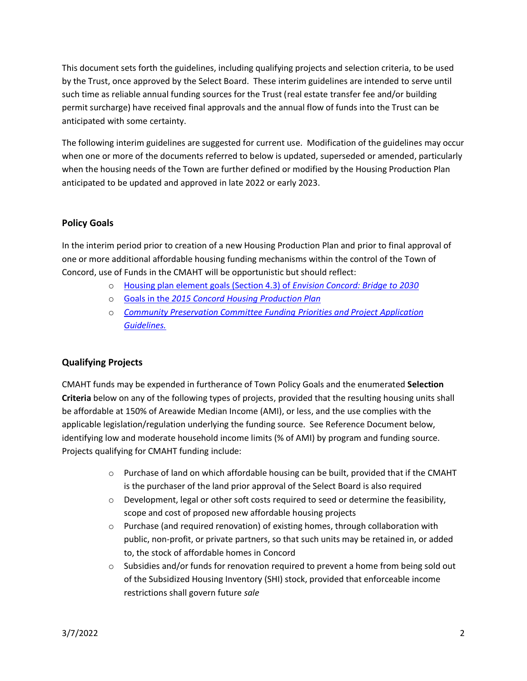This document sets forth the guidelines, including qualifying projects and selection criteria, to be used by the Trust, once approved by the Select Board. These interim guidelines are intended to serve until such time as reliable annual funding sources for the Trust (real estate transfer fee and/or building permit surcharge) have received final approvals and the annual flow of funds into the Trust can be anticipated with some certainty.

The following interim guidelines are suggested for current use. Modification of the guidelines may occur when one or more of the documents referred to below is updated, superseded or amended, particularly when the housing needs of the Town are further defined or modified by the Housing Production Plan anticipated to be updated and approved in late 2022 or early 2023.

#### **Policy Goals**

In the interim period prior to creation of a new Housing Production Plan and prior to final approval of one or more additional affordable housing funding mechanisms within the control of the Town of Concord, use of Funds in the CMAHT will be opportunistic but should reflect:

- o [Housing plan element goals \(Section 4.3\) of](https://www.concordma.gov/DocumentCenter/View/15433/Section-43-Housing-Plan-Element) *Envision Concord: Bridge to 2030*
- o Goals in the *[2015 Concord Housing Production Plan](https://www.concordma.gov/DocumentCenter/View/1447/2015-Concord-Housing-Production-Plan-PDF?bidId)*
- o *[Community Preservation Committee Funding Priorities and Project Application](https://www.concordma.gov/DocumentCenter/View/29115/2021---APPLICATION-REQUIREMENTS-AND-ATTACHMENTS)  [Guidelines.](https://www.concordma.gov/DocumentCenter/View/29115/2021---APPLICATION-REQUIREMENTS-AND-ATTACHMENTS)*

### **Qualifying Projects**

CMAHT funds may be expended in furtherance of Town Policy Goals and the enumerated **Selection Criteria** below on any of the following types of projects, provided that the resulting housing units shall be affordable at 150% of Areawide Median Income (AMI), or less, and the use complies with the applicable legislation/regulation underlying the funding source. See Reference Document below, identifying low and moderate household income limits (% of AMI) by program and funding source. Projects qualifying for CMAHT funding include:

- $\circ$  Purchase of land on which affordable housing can be built, provided that if the CMAHT is the purchaser of the land prior approval of the Select Board is also required
- $\circ$  Development, legal or other soft costs required to seed or determine the feasibility, scope and cost of proposed new affordable housing projects
- $\circ$  Purchase (and required renovation) of existing homes, through collaboration with public, non-profit, or private partners, so that such units may be retained in, or added to, the stock of affordable homes in Concord
- $\circ$  Subsidies and/or funds for renovation required to prevent a home from being sold out of the Subsidized Housing Inventory (SHI) stock, provided that enforceable income restrictions shall govern future *sale*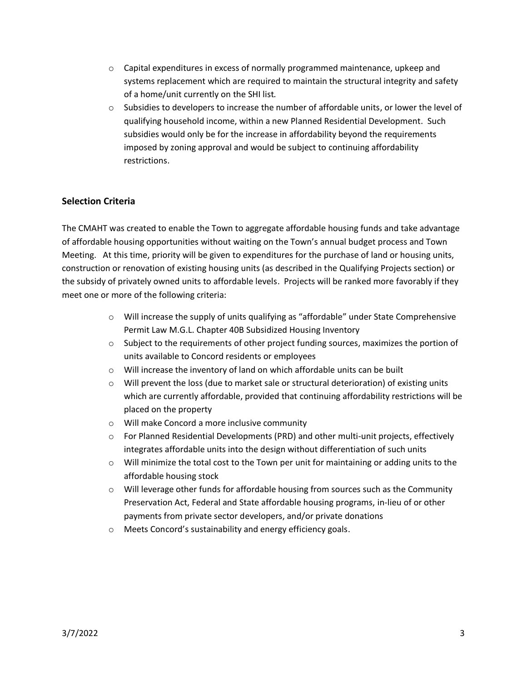- $\circ$  Capital expenditures in excess of normally programmed maintenance, upkeep and systems replacement which are required to maintain the structural integrity and safety of a home/unit currently on the SHI list*.*
- $\circ$  Subsidies to developers to increase the number of affordable units, or lower the level of qualifying household income, within a new Planned Residential Development. Such subsidies would only be for the increase in affordability beyond the requirements imposed by zoning approval and would be subject to continuing affordability restrictions.

#### **Selection Criteria**

The CMAHT was created to enable the Town to aggregate affordable housing funds and take advantage of affordable housing opportunities without waiting on the Town's annual budget process and Town Meeting. At this time, priority will be given to expenditures for the purchase of land or housing units, construction or renovation of existing housing units (as described in the Qualifying Projects section) or the subsidy of privately owned units to affordable levels. Projects will be ranked more favorably if they meet one or more of the following criteria:

- o Will increase the supply of units qualifying as "affordable" under State Comprehensive Permit Law M.G.L. Chapter 40B Subsidized Housing Inventory
- $\circ$  Subject to the requirements of other project funding sources, maximizes the portion of units available to Concord residents or employees
- o Will increase the inventory of land on which affordable units can be built
- $\circ$  Will prevent the loss (due to market sale or structural deterioration) of existing units which are currently affordable, provided that continuing affordability restrictions will be placed on the property
- o Will make Concord a more inclusive community
- o For Planned Residential Developments (PRD) and other multi-unit projects, effectively integrates affordable units into the design without differentiation of such units
- $\circ$  Will minimize the total cost to the Town per unit for maintaining or adding units to the affordable housing stock
- $\circ$  Will leverage other funds for affordable housing from sources such as the Community Preservation Act, Federal and State affordable housing programs, in-lieu of or other payments from private sector developers, and/or private donations
- o Meets Concord's sustainability and energy efficiency goals.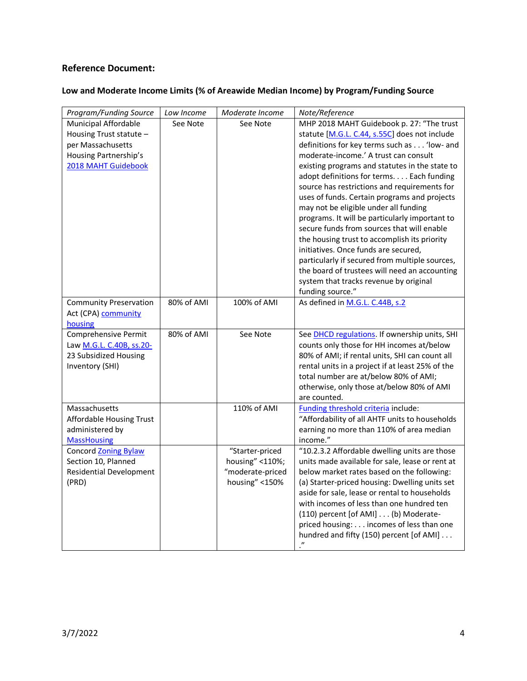## **Reference Document:**

### **Low and Moderate Income Limits (% of Areawide Median Income) by Program/Funding Source**

| Program/Funding Source                            | Low Income | Moderate Income  | Note/Reference                                                                                    |
|---------------------------------------------------|------------|------------------|---------------------------------------------------------------------------------------------------|
| <b>Municipal Affordable</b>                       | See Note   | See Note         | MHP 2018 MAHT Guidebook p. 27: "The trust                                                         |
| Housing Trust statute -                           |            |                  | statute [M.G.L. C.44, s.55C] does not include                                                     |
| per Massachusetts                                 |            |                  | definitions for key terms such as 'low- and                                                       |
| Housing Partnership's                             |            |                  | moderate-income.' A trust can consult                                                             |
| 2018 MAHT Guidebook                               |            |                  | existing programs and statutes in the state to                                                    |
|                                                   |            |                  | adopt definitions for terms. Each funding                                                         |
|                                                   |            |                  | source has restrictions and requirements for                                                      |
|                                                   |            |                  | uses of funds. Certain programs and projects                                                      |
|                                                   |            |                  | may not be eligible under all funding                                                             |
|                                                   |            |                  | programs. It will be particularly important to                                                    |
|                                                   |            |                  | secure funds from sources that will enable                                                        |
|                                                   |            |                  | the housing trust to accomplish its priority                                                      |
|                                                   |            |                  | initiatives. Once funds are secured,                                                              |
|                                                   |            |                  | particularly if secured from multiple sources,                                                    |
|                                                   |            |                  | the board of trustees will need an accounting                                                     |
|                                                   |            |                  | system that tracks revenue by original                                                            |
|                                                   |            |                  | funding source."                                                                                  |
| <b>Community Preservation</b>                     | 80% of AMI | 100% of AMI      | As defined in M.G.L. C.44B, s.2                                                                   |
| Act (CPA) community                               |            |                  |                                                                                                   |
| housing                                           | 80% of AMI | See Note         |                                                                                                   |
| Comprehensive Permit                              |            |                  | See <b>DHCD</b> regulations. If ownership units, SHI<br>counts only those for HH incomes at/below |
| Law M.G.L. C.40B, ss.20-<br>23 Subsidized Housing |            |                  | 80% of AMI; if rental units, SHI can count all                                                    |
| Inventory (SHI)                                   |            |                  | rental units in a project if at least 25% of the                                                  |
|                                                   |            |                  | total number are at/below 80% of AMI;                                                             |
|                                                   |            |                  | otherwise, only those at/below 80% of AMI                                                         |
|                                                   |            |                  | are counted.                                                                                      |
| Massachusetts                                     |            | 110% of AMI      | Funding threshold criteria include:                                                               |
| <b>Affordable Housing Trust</b>                   |            |                  | "Affordability of all AHTF units to households                                                    |
| administered by                                   |            |                  | earning no more than 110% of area median                                                          |
| <b>MassHousing</b>                                |            |                  | income."                                                                                          |
| <b>Concord Zoning Bylaw</b>                       |            | "Starter-priced  | "10.2.3.2 Affordable dwelling units are those                                                     |
| Section 10, Planned                               |            | housing" <110%;  | units made available for sale, lease or rent at                                                   |
| <b>Residential Development</b>                    |            | "moderate-priced | below market rates based on the following:                                                        |
| (PRD)                                             |            | housing" <150%   | (a) Starter-priced housing: Dwelling units set                                                    |
|                                                   |            |                  | aside for sale, lease or rental to households                                                     |
|                                                   |            |                  | with incomes of less than one hundred ten                                                         |
|                                                   |            |                  | (110) percent [of AMI] (b) Moderate-                                                              |
|                                                   |            |                  | priced housing: incomes of less than one                                                          |
|                                                   |            |                  | hundred and fifty (150) percent [of AMI]                                                          |
|                                                   |            |                  |                                                                                                   |